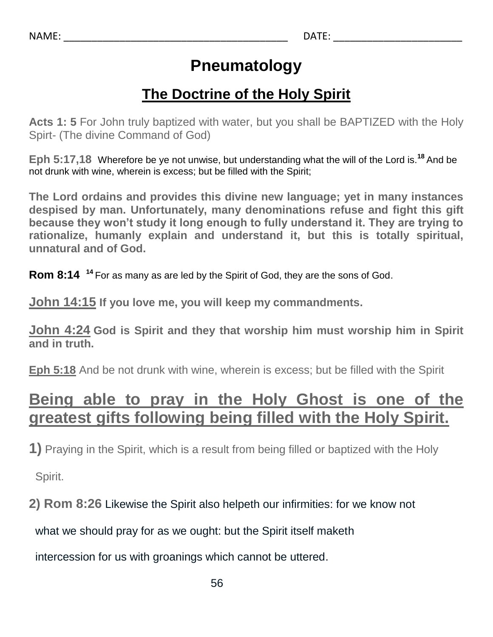# **Pneumatology**

### **The Doctrine of the Holy Spirit**

**Acts 1: 5** For John truly baptized with water, but you shall be BAPTIZED with the Holy Spirt- (The divine Command of God)

**Eph 5:17,18** Wherefore be ye not unwise, but understanding what the will of the Lord is.**<sup>18</sup>** And be not drunk with wine, wherein is excess; but be filled with the Spirit;

**The Lord ordains and provides this divine new language; yet in many instances despised by man. Unfortunately, many denominations refuse and fight this gift because they won't study it long enough to fully understand it. They are trying to rationalize, humanly explain and understand it, but this is totally spiritual, unnatural and of God.**

**Rom 8:14 <sup>14</sup>** For as many as are led by the Spirit of God, they are the sons of God.

**John 14:15 If you love me, you will keep my commandments.**

**John 4:24 God is Spirit and they that worship him must worship him in Spirit and in truth.**

**Eph 5:18** And be not drunk with wine, wherein is excess; but be filled with the Spirit

# **Being able to pray in the Holy Ghost is one of the greatest gifts following being filled with the Holy Spirit.**

**1)** Praying in the Spirit, which is a result from being filled or baptized with the Holy

Spirit.

**2) Rom 8:26** Likewise the Spirit also helpeth our infirmities: for we know not

what we should pray for as we ought: but the Spirit itself maketh

intercession for us with groanings which cannot be uttered.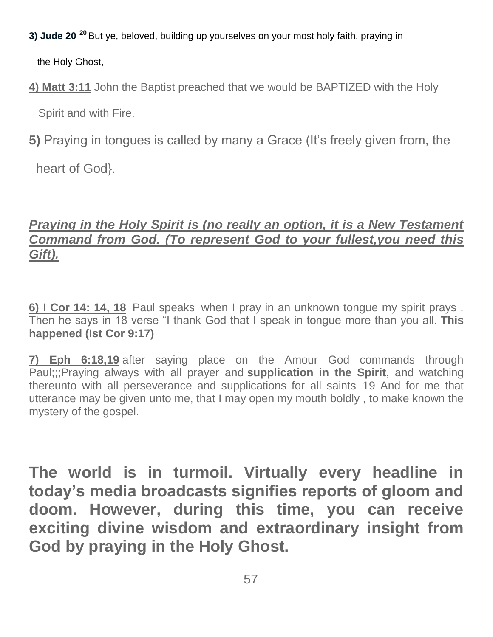- **3) Jude 20 <sup>20</sup>** But ye, beloved, building up yourselves on your most holy faith, praying in the Holy Ghost,
- **4) Matt 3:11** John the Baptist preached that we would be BAPTIZED with the Holy Spirit and with Fire.
- **5)** Praying in tongues is called by many a Grace (It's freely given from, the

heart of God}.

#### *Praying in the Holy Spirit is (no really an option, it is a New Testament Command from God. (To represent God to your fullest,you need this Gift).*

**6) I Cor 14: 14, 18** Paul speaks when I pray in an unknown tongue my spirit prays . Then he says in 18 verse "I thank God that I speak in tongue more than you all. **This happened (Ist Cor 9:17)**

**7) Eph 6:18,19** after saying place on the Amour God commands through Paul;;;Praying always with all prayer and **supplication in the Spirit**, and watching thereunto with all perseverance and supplications for all saints 19 And for me that utterance may be given unto me, that I may open my mouth boldly , to make known the mystery of the gospel.

**The world is in turmoil. Virtually every headline in today's media broadcasts signifies reports of gloom and doom. However, during this time, you can receive exciting divine wisdom and extraordinary insight from God by praying in the Holy Ghost.**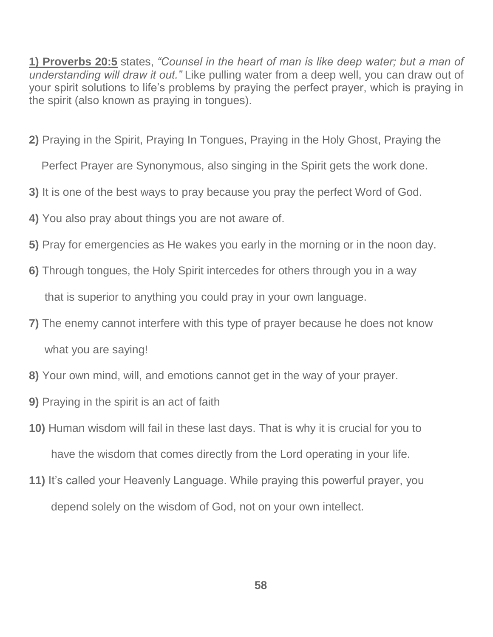**1) Proverbs 20:5** states, *"Counsel in the heart of man is like deep water; but a man of understanding will draw it out."* Like pulling water from a deep well, you can draw out of your spirit solutions to life's problems by praying the perfect prayer, which is praying in the spirit (also known as praying in tongues).

**2)** Praying in the Spirit, Praying In Tongues, Praying in the Holy Ghost, Praying the

Perfect Prayer are Synonymous, also singing in the Spirit gets the work done.

- **3)** It is one of the best ways to pray because you pray the perfect Word of God.
- **4)** You also pray about things you are not aware of.
- **5)** Pray for emergencies as He wakes you early in the morning or in the noon day.
- **6)** Through tongues, the Holy Spirit intercedes for others through you in a way

that is superior to anything you could pray in your own language.

- **7)** The enemy cannot interfere with this type of prayer because he does not know what you are saying!
- **8)** Your own mind, will, and emotions cannot get in the way of your prayer.
- **9)** Praying in the spirit is an act of faith
- **10)** Human wisdom will fail in these last days. That is why it is crucial for you to have the wisdom that comes directly from the Lord operating in your life.
- **11)** It's called your Heavenly Language. While praying this powerful prayer, you depend solely on the wisdom of God, not on your own intellect.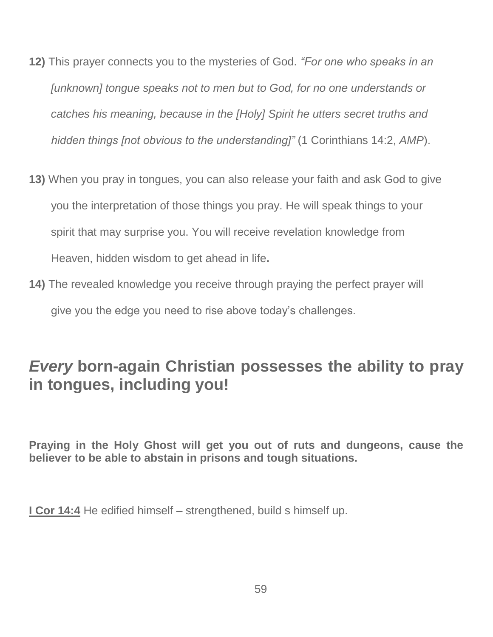- **12)** This prayer connects you to the mysteries of God. *"For one who speaks in an [unknown] tongue speaks not to men but to God, for no one understands or catches his meaning, because in the [Holy] Spirit he utters secret truths and hidden things [not obvious to the understanding]"* (1 Corinthians 14:2, *AMP*).
- **13)** When you pray in tongues, you can also release your faith and ask God to give you the interpretation of those things you pray. He will speak things to your spirit that may surprise you. You will receive revelation knowledge from Heaven, hidden wisdom to get ahead in life**.**
- **14)** The revealed knowledge you receive through praying the perfect prayer will give you the edge you need to rise above today's challenges.

## *Every* **born-again Christian possesses the ability to pray in tongues, including you!**

**Praying in the Holy Ghost will get you out of ruts and dungeons, cause the believer to be able to abstain in prisons and tough situations.**

**I Cor 14:4** He edified himself – strengthened, build s himself up.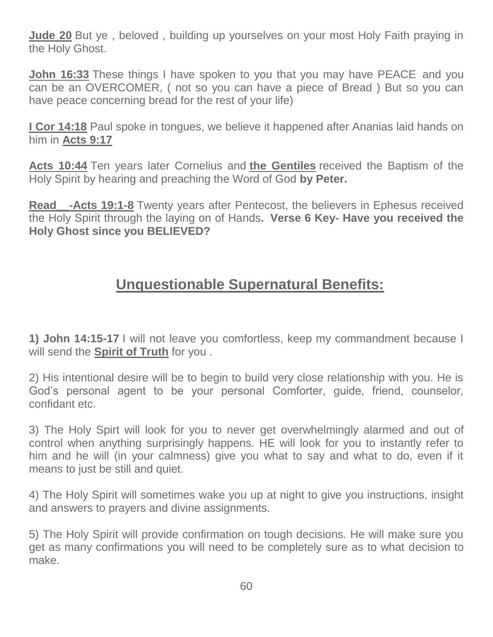**Jude 20** But ye , beloved , building up yourselves on your most Holy Faith praying in the Holy Ghost.

**John 16:33** These things I have spoken to you that you may have PEACE and you can be an OVERCOMER, ( not so you can have a piece of Bread ) But so you can have peace concerning bread for the rest of your life)

**I Cor 14:18** Paul spoke in tongues, we believe it happened after Ananias laid hands on him in **Acts 9:17**

**Acts 10:44** Ten years later Cornelius and **the Gentiles** received the Baptism of the Holy Spirit by hearing and preaching the Word of God **by Peter.**

**Read** - **Acts 19:1-8** Twenty years after Pentecost, the believers in Ephesus received the Holy Spirit through the laying on of Hands**. Verse 6 Key- Have you received the Holy Ghost since you BELIEVED?**

### **Unquestionable Supernatural Benefits:**

**1) John 14:15-17** I will not leave you comfortless, keep my commandment because I will send the **Spirit of Truth** for you .

2) His intentional desire will be to begin to build very close relationship with you. He is God's personal agent to be your personal Comforter, guide, friend, counselor, confidant etc.

3) The Holy Spirt will look for you to never get overwhelmingly alarmed and out of control when anything surprisingly happens. HE will look for you to instantly refer to him and he will (in your calmness) give you what to say and what to do, even if it means to just be still and quiet.

4) The Holy Spirit will sometimes wake you up at night to give you instructions, insight and answers to prayers and divine assignments.

5) The Holy Spirit will provide confirmation on tough decisions. He will make sure you get as many confirmations you will need to be completely sure as to what decision to make.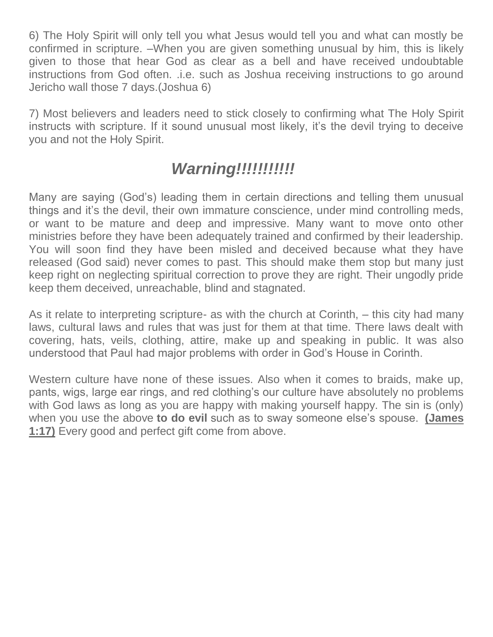6) The Holy Spirit will only tell you what Jesus would tell you and what can mostly be confirmed in scripture. –When you are given something unusual by him, this is likely given to those that hear God as clear as a bell and have received undoubtable instructions from God often. .i.e. such as Joshua receiving instructions to go around Jericho wall those 7 days.(Joshua 6)

7) Most believers and leaders need to stick closely to confirming what The Holy Spirit instructs with scripture. If it sound unusual most likely, it's the devil trying to deceive you and not the Holy Spirit.

# *Warning!!!!!!!!!!!*

Many are saying (God's) leading them in certain directions and telling them unusual things and it's the devil, their own immature conscience, under mind controlling meds, or want to be mature and deep and impressive. Many want to move onto other ministries before they have been adequately trained and confirmed by their leadership. You will soon find they have been misled and deceived because what they have released (God said) never comes to past. This should make them stop but many just keep right on neglecting spiritual correction to prove they are right. Their ungodly pride keep them deceived, unreachable, blind and stagnated.

As it relate to interpreting scripture- as with the church at Corinth, – this city had many laws, cultural laws and rules that was just for them at that time. There laws dealt with covering, hats, veils, clothing, attire, make up and speaking in public. It was also understood that Paul had major problems with order in God's House in Corinth.

Western culture have none of these issues. Also when it comes to braids, make up, pants, wigs, large ear rings, and red clothing's our culture have absolutely no problems with God laws as long as you are happy with making yourself happy. The sin is (only) when you use the above **to do evil** such as to sway someone else's spouse. **(James 1:17)** Every good and perfect gift come from above.